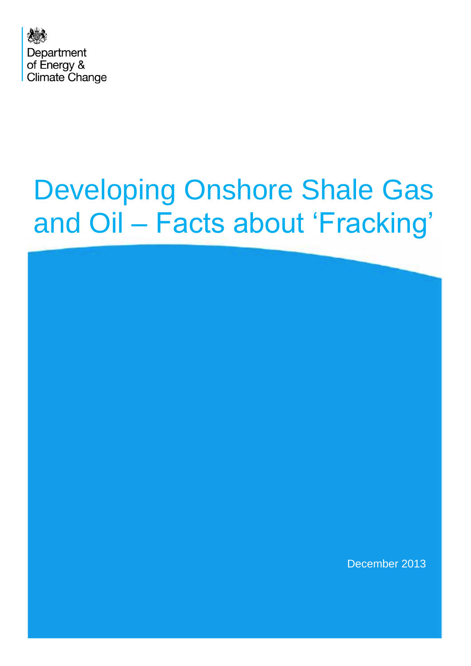

# Developing Onshore Shale Gas and Oil – Facts about 'Fracking'

December 2013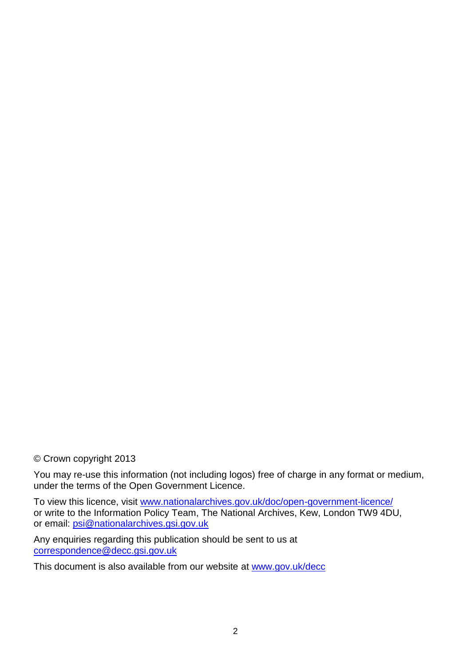# © Crown copyright 2013

You may re-use this information (not including logos) free of charge in any format or medium, under the terms of the Open Government Licence.

To view this licence, visit [www.nationalarchives.gov.uk/doc/open-government-licence/](http://www.nationalarchives.gov.uk/doc/open-government-licence/) or write to the Information Policy Team, The National Archives, Kew, London TW9 4DU, or email: [psi@nationalarchives.gsi.gov.uk](mailto:psi@nationalarchives.gsi.gov.uk)

Any enquiries regarding this publication should be sent to us at [correspondence@decc.gsi.gov.uk](mailto:correspondence@decc.gsi.gov.uk)

This document is also available from our website at [www.gov.uk/decc](http://www.gov.uk/decc)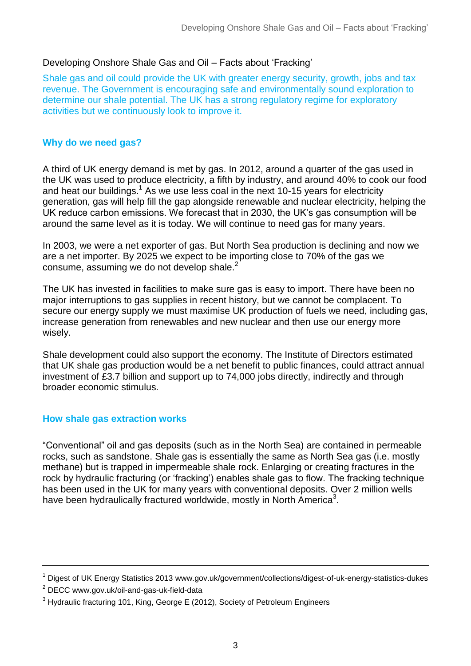## Developing Onshore Shale Gas and Oil – Facts about 'Fracking'

Shale gas and oil could provide the UK with greater energy security, growth, jobs and tax revenue. The Government is encouraging safe and environmentally sound exploration to determine our shale potential. The UK has a strong regulatory regime for exploratory activities but we continuously look to improve it.

#### **Why do we need gas?**

A third of UK energy demand is met by gas. In 2012, around a quarter of the gas used in the UK was used to produce electricity, a fifth by industry, and around 40% to cook our food and heat our buildings.<sup>1</sup> As we use less coal in the next 10-15 years for electricity generation, gas will help fill the gap alongside renewable and nuclear electricity, helping the UK reduce carbon emissions. We forecast that in 2030, the UK's gas consumption will be around the same level as it is today. We will continue to need gas for many years.

In 2003, we were a net exporter of gas. But North Sea production is declining and now we are a net importer. By 2025 we expect to be importing close to 70% of the gas we consume, assuming we do not develop shale. 2

The UK has invested in facilities to make sure gas is easy to import. There have been no major interruptions to gas supplies in recent history, but we cannot be complacent. To secure our energy supply we must maximise UK production of fuels we need, including gas, increase generation from renewables and new nuclear and then use our energy more wisely.

Shale development could also support the economy. The Institute of Directors estimated that UK shale gas production would be a net benefit to public finances, could attract annual investment of £3.7 billion and support up to 74,000 jobs directly, indirectly and through broader economic stimulus.

## **How shale gas extraction works**

"Conventional" oil and gas deposits (such as in the North Sea) are contained in permeable rocks, such as sandstone. Shale gas is essentially the same as North Sea gas (i.e. mostly methane) but is trapped in impermeable shale rock. Enlarging or creating fractures in the rock by hydraulic fracturing (or 'fracking') enables shale gas to flow. The fracking technique has been used in the UK for many years with conventional deposits. Over 2 million wells have been hydraulically fractured worldwide, mostly in North America<sup>3</sup>.

 $2$  DECC www.gov.uk/oil-and-gas-uk-field-data

<sup>1</sup> Digest of UK Energy Statistics 2013 www.gov.uk/government/collections/digest-of-uk-energy-statistics-dukes

 $3$  Hydraulic fracturing 101, King, George E (2012), Society of Petroleum Engineers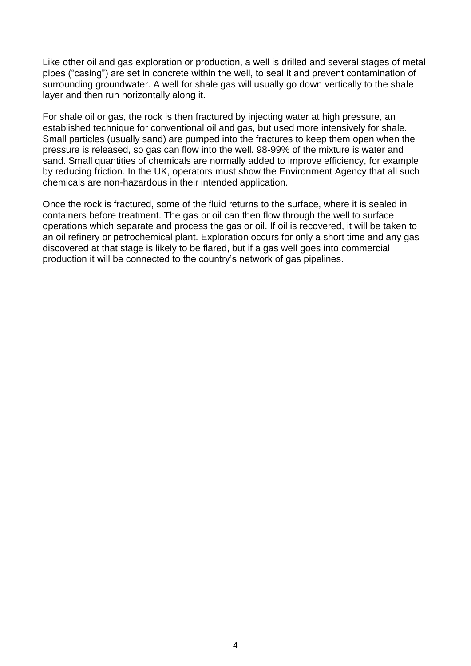Like other oil and gas exploration or production, a well is drilled and several stages of metal pipes ("casing") are set in concrete within the well, to seal it and prevent contamination of surrounding groundwater. A well for shale gas will usually go down vertically to the shale layer and then run horizontally along it.

For shale oil or gas, the rock is then fractured by injecting water at high pressure, an established technique for conventional oil and gas, but used more intensively for shale. Small particles (usually sand) are pumped into the fractures to keep them open when the pressure is released, so gas can flow into the well. 98-99% of the mixture is water and sand. Small quantities of chemicals are normally added to improve efficiency, for example by reducing friction. In the UK, operators must show the Environment Agency that all such chemicals are non-hazardous in their intended application.

Once the rock is fractured, some of the fluid returns to the surface, where it is sealed in containers before treatment. The gas or oil can then flow through the well to surface operations which separate and process the gas or oil. If oil is recovered, it will be taken to an oil refinery or petrochemical plant. Exploration occurs for only a short time and any gas discovered at that stage is likely to be flared, but if a gas well goes into commercial production it will be connected to the country's network of gas pipelines.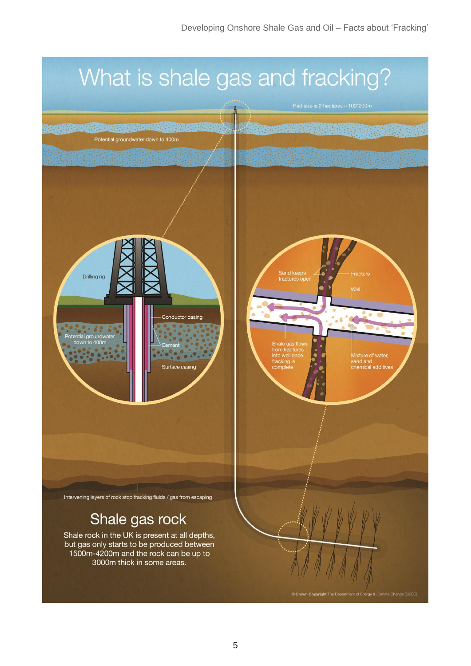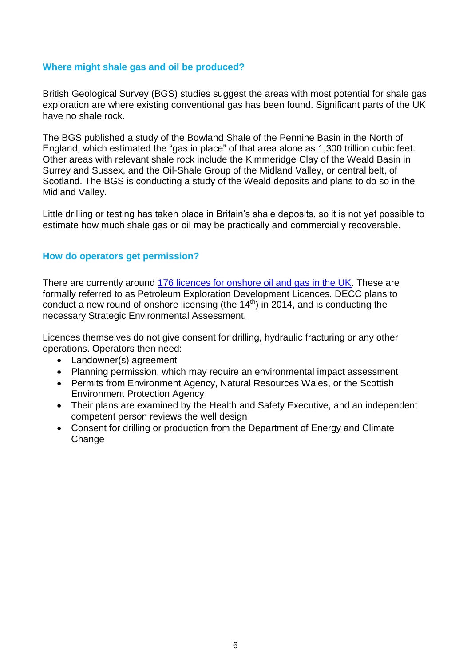#### **Where might shale gas and oil be produced?**

British Geological Survey (BGS) studies suggest the areas with most potential for shale gas exploration are where existing conventional gas has been found. Significant parts of the UK have no shale rock.

The BGS published a study of the Bowland Shale of the Pennine Basin in the North of England, which estimated the "gas in place" of that area alone as 1,300 trillion cubic feet. Other areas with relevant shale rock include the Kimmeridge Clay of the Weald Basin in Surrey and Sussex, and the Oil-Shale Group of the Midland Valley, or central belt, of Scotland. The BGS is conducting a study of the Weald deposits and plans to do so in the Midland Valley.

Little drilling or testing has taken place in Britain's shale deposits, so it is not yet possible to estimate how much shale gas or oil may be practically and commercially recoverable.

## **How do operators get permission?**

There are currently around [176 licences for onshore oil and gas in the UK.](https://www.gov.uk/government/uploads/system/uploads/attachment_data/file/227180/landfields_lics.pdf) These are formally referred to as Petroleum Exploration Development Licences. DECC plans to conduct a new round of onshore licensing (the  $14<sup>th</sup>$ ) in 2014, and is conducting the necessary Strategic Environmental Assessment.

Licences themselves do not give consent for drilling, hydraulic fracturing or any other operations. Operators then need:

- Landowner(s) agreement
- Planning permission, which may require an environmental impact assessment
- Permits from Environment Agency, Natural Resources Wales, or the Scottish Environment Protection Agency
- Their plans are examined by the Health and Safety Executive, and an independent competent person reviews the well design
- Consent for drilling or production from the Department of Energy and Climate Change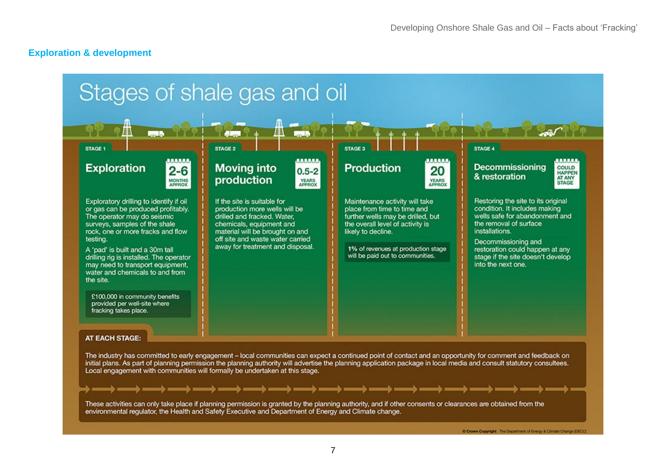#### **Exploration & development**

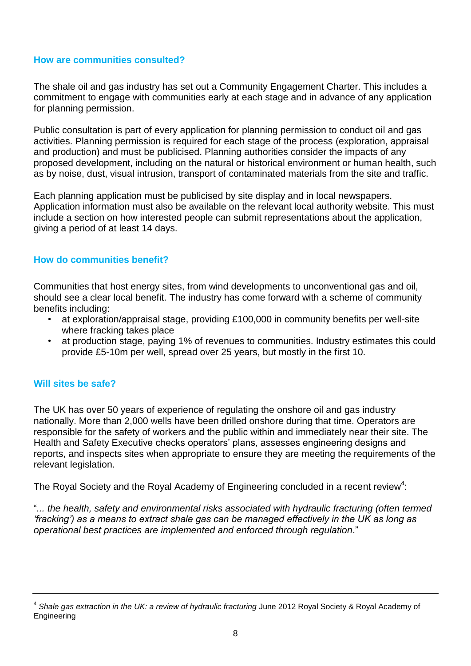## **How are communities consulted?**

The shale oil and gas industry has set out a Community Engagement Charter. This includes a commitment to engage with communities early at each stage and in advance of any application for planning permission.

Public consultation is part of every application for planning permission to conduct oil and gas activities. Planning permission is required for each stage of the process (exploration, appraisal and production) and must be publicised. Planning authorities consider the impacts of any proposed development, including on the natural or historical environment or human health, such as by noise, dust, visual intrusion, transport of contaminated materials from the site and traffic.

Each planning application must be publicised by site display and in local newspapers. Application information must also be available on the relevant local authority website. This must include a section on how interested people can submit representations about the application, giving a period of at least 14 days.

## **How do communities benefit?**

Communities that host energy sites, from wind developments to unconventional gas and oil, should see a clear local benefit. The industry has come forward with a scheme of community benefits including:

- at exploration/appraisal stage, providing £100,000 in community benefits per well-site where fracking takes place
- at production stage, paying 1% of revenues to communities. Industry estimates this could provide £5-10m per well, spread over 25 years, but mostly in the first 10.

## **Will sites be safe?**

The UK has over 50 years of experience of regulating the onshore oil and gas industry nationally. More than 2,000 wells have been drilled onshore during that time. Operators are responsible for the safety of workers and the public within and immediately near their site. The Health and Safety Executive checks operators' plans, assesses engineering designs and reports, and inspects sites when appropriate to ensure they are meeting the requirements of the relevant legislation.

The Royal Society and the Royal Academy of Engineering concluded in a recent review<sup>4</sup>:

"*... the health, safety and environmental risks associated with hydraulic fracturing (often termed 'fracking') as a means to extract shale gas can be managed effectively in the UK as long as operational best practices are implemented and enforced through regulation*."

<sup>4</sup> *Shale gas extraction in the UK: a review of hydraulic fracturing* June 2012 Royal Society & Royal Academy of Engineering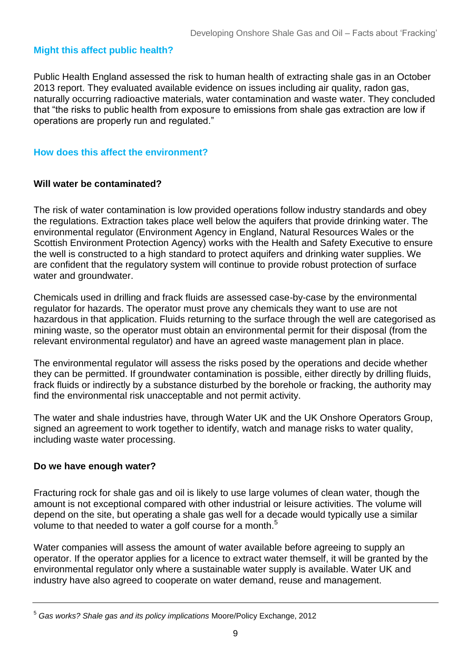# **Might this affect public health?**

Public Health England assessed the risk to human health of extracting shale gas in an October 2013 report. They evaluated available evidence on issues including air quality, radon gas, naturally occurring radioactive materials, water contamination and waste water. They concluded that "the risks to public health from exposure to emissions from shale gas extraction are low if operations are properly run and regulated."

# **How does this affect the environment?**

## **Will water be contaminated?**

The risk of water contamination is low provided operations follow industry standards and obey the regulations. Extraction takes place well below the aquifers that provide drinking water. The environmental regulator (Environment Agency in England, Natural Resources Wales or the Scottish Environment Protection Agency) works with the Health and Safety Executive to ensure the well is constructed to a high standard to protect aquifers and drinking water supplies. We are confident that the regulatory system will continue to provide robust protection of surface water and groundwater.

Chemicals used in drilling and frack fluids are assessed case-by-case by the environmental regulator for hazards. The operator must prove any chemicals they want to use are not hazardous in that application. Fluids returning to the surface through the well are categorised as mining waste, so the operator must obtain an environmental permit for their disposal (from the relevant environmental regulator) and have an agreed waste management plan in place.

The environmental regulator will assess the risks posed by the operations and decide whether they can be permitted. If groundwater contamination is possible, either directly by drilling fluids, frack fluids or indirectly by a substance disturbed by the borehole or fracking, the authority may find the environmental risk unacceptable and not permit activity.

The water and shale industries have, through Water UK and the UK Onshore Operators Group, signed an agreement to work together to identify, watch and manage risks to water quality, including waste water processing.

# **Do we have enough water?**

Fracturing rock for shale gas and oil is likely to use large volumes of clean water, though the amount is not exceptional compared with other industrial or leisure activities. The volume will depend on the site, but operating a shale gas well for a decade would typically use a similar volume to that needed to water a golf course for a month.<sup>5</sup>

Water companies will assess the amount of water available before agreeing to supply an operator. If the operator applies for a licence to extract water themself, it will be granted by the environmental regulator only where a sustainable water supply is available. Water UK and industry have also agreed to cooperate on water demand, reuse and management.

<sup>5</sup> *Gas works? Shale gas and its policy implications* Moore/Policy Exchange, 2012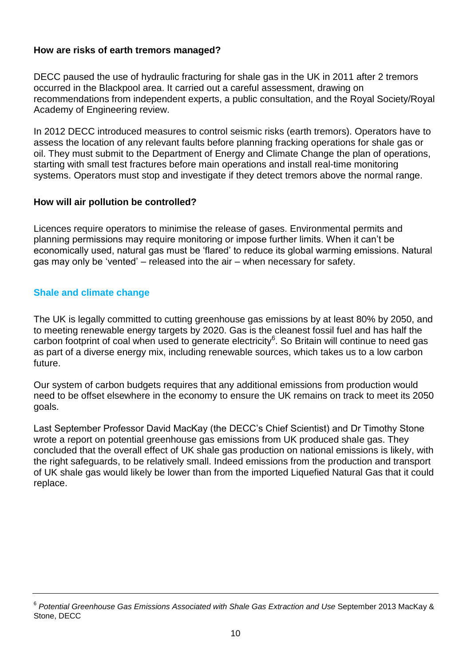# **How are risks of earth tremors managed?**

DECC paused the use of hydraulic fracturing for shale gas in the UK in 2011 after 2 tremors occurred in the Blackpool area. It carried out a careful assessment, drawing on recommendations from independent experts, a public consultation, and the Royal Society/Royal Academy of Engineering review.

In 2012 DECC introduced measures to control seismic risks (earth tremors). Operators have to assess the location of any relevant faults before planning fracking operations for shale gas or oil. They must submit to the Department of Energy and Climate Change the plan of operations, starting with small test fractures before main operations and install real-time monitoring systems. Operators must stop and investigate if they detect tremors above the normal range.

## **How will air pollution be controlled?**

Licences require operators to minimise the release of gases. Environmental permits and planning permissions may require monitoring or impose further limits. When it can't be economically used, natural gas must be 'flared' to reduce its global warming emissions. Natural gas may only be 'vented' – released into the air – when necessary for safety.

## **Shale and climate change**

The UK is legally committed to cutting greenhouse gas emissions by at least 80% by 2050, and to meeting renewable energy targets by 2020. Gas is the cleanest fossil fuel and has half the carbon footprint of coal when used to generate electricity<sup>6</sup>. So Britain will continue to need gas as part of a diverse energy mix, including renewable sources, which takes us to a low carbon future.

Our system of carbon budgets requires that any additional emissions from production would need to be offset elsewhere in the economy to ensure the UK remains on track to meet its 2050 goals.

Last September Professor David MacKay (the DECC's Chief Scientist) and Dr Timothy Stone wrote a report on potential greenhouse gas emissions from UK produced shale gas. They concluded that the overall effect of UK shale gas production on national emissions is likely, with the right safeguards, to be relatively small. Indeed emissions from the production and transport of UK shale gas would likely be lower than from the imported Liquefied Natural Gas that it could replace.

<sup>6</sup> *Potential Greenhouse Gas Emissions Associated with Shale Gas Extraction and Use* September 2013 MacKay & Stone, DECC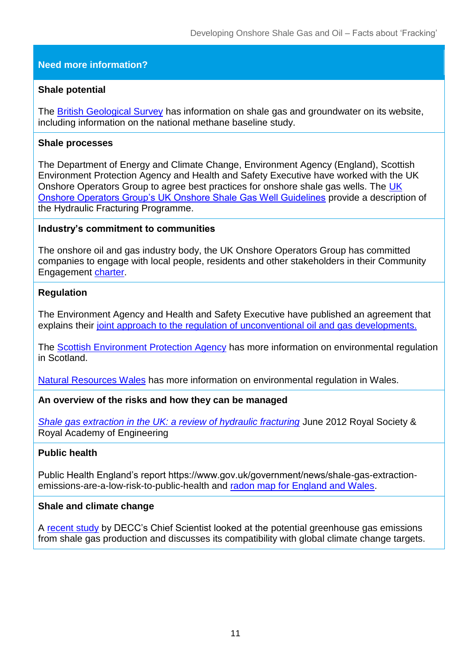# **Need more information?**

## **Shale potential**

The [British Geological Survey](http://www.bgs.ac.uk/research/groundwater/shaleGas/home.html) has information on shale gas and groundwater on its website, including information on the national methane baseline study.

## **Shale processes**

The Department of Energy and Climate Change, Environment Agency (England), Scottish Environment Protection Agency and Health and Safety Executive have worked with the UK Onshore Operators Group to agree best practices for onshore shale gas wells. The [UK](http://www.ukoog.org.uk/elements/pdfs/ShaleGasWellGuidelines.pdf)  [Onshore Operators Group's UK Onshore Shale Gas Well Guidelines](http://www.ukoog.org.uk/elements/pdfs/ShaleGasWellGuidelines.pdf) provide a description of the Hydraulic Fracturing Programme.

#### **Industry's commitment to communities**

The onshore oil and gas industry body, the UK Onshore Operators Group has committed companies to engage with local people, residents and other stakeholders in their Community Engagement [charter.](http://www.ukoog.org.uk/elements/pdfs/communityengagementcharterversion6.pdf)

## **Regulation**

The Environment Agency and Health and Safety Executive have published an agreement that explains their [joint approach to the regulation of unconventional oil and gas developments.](http://www.environment-agency.gov.uk/business/topics/133885.aspx)

The **Scottish Environment Protection Agency has more information on environmental regulation** in Scotland.

[Natural Resources Wales](http://naturalresourceswales.gov.uk/?lang=en) has more information on environmental regulation in Wales.

## **An overview of the risks and how they can be managed**

*[Shale gas extraction in the UK: a review of hydraulic fracturing](http://royalsociety.org/policy/projects/shale-gas-extraction/report)* June 2012 Royal Society & Royal Academy of Engineering

## **Public health**

Public Health England's report https://www.gov.uk/government/news/shale-gas-extractionemissions-are-a-low-risk-to-public-health and [radon map for England and Wales.](http://www.ukradon.org/map.php?map=englandwales)

## **Shale and climate change**

A [recent study](https://www.gov.uk/government/publications/potential-greenhouse-gas-emissions-associated-with-shale-gas-production-and-use) by DECC's Chief Scientist looked at the potential greenhouse gas emissions from shale gas production and discusses its compatibility with global climate change targets.